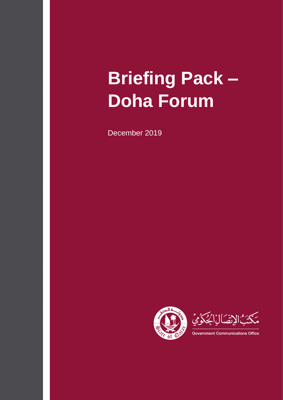# **Briefing Pack – Doha Forum**

December 2019

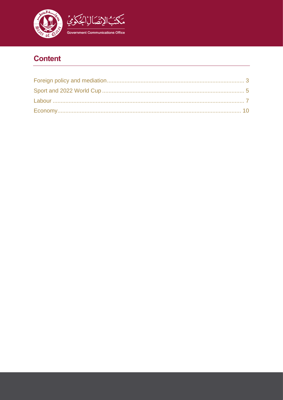

# **Content**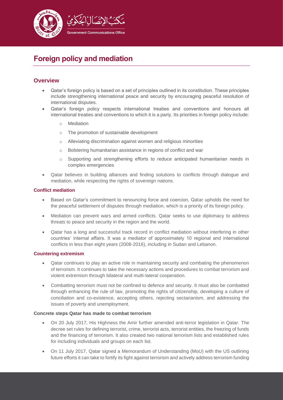

# <span id="page-2-0"></span>**Foreign policy and mediation**

# **Overview**

- Qatar's foreign policy is based on a set of principles outlined in its constitution. These principles include strengthening international peace and security by encouraging peaceful resolution of international disputes.
- Qatar's foreign policy respects international treaties and conventions and honours all international treaties and conventions to which it is a party. Its priorities in foreign policy include:
	- o Mediation
	- o The promotion of sustainable development
	- o Alleviating discrimination against women and religious minorities
	- o Bolstering humanitarian assistance in regions of conflict and war
	- o Supporting and strengthening efforts to reduce anticipated humanitarian needs in complex emergencies
- Qatar believes in building alliances and finding solutions to conflicts through dialogue and mediation, while respecting the rights of sovereign nations.

#### **Conflict mediation**

- Based on Qatar's commitment to renouncing force and coercion, Qatar upholds the need for the peaceful settlement of disputes through mediation, which is a priority of its foreign policy.
- Mediation can prevent wars and armed conflicts. Qatar seeks to use diplomacy to address threats to peace and security in the region and the world.
- Qatar has a long and successful track record in conflict mediation without interfering in other countries' internal affairs. It was a mediator of approximately 10 regional and international conflicts in less than eight years (2008-2016), including in Sudan and Lebanon.

#### **Countering extremism**

- Qatar continues to play an active role in maintaining security and combating the phenomenon of terrorism. It continues to take the necessary actions and procedures to combat terrorism and violent extremism through bilateral and multi-lateral cooperation.
- Combatting terrorism must not be confined to defence and security. It must also be combatted through enhancing the rule of law, promoting the rights of citizenship, developing a culture of conciliation and co-existence, accepting others, rejecting sectarianism, and addressing the issues of poverty and unemployment.

#### **Concrete steps Qatar has made to combat terrorism**

- On 20 July 2017, His Highness the Amir further amended anti-terror legislation in Qatar. The decree set rules for defining terrorist, crime, terrorist acts, terrorist entities, the freezing of funds and the financing of terrorism. It also created two national terrorism lists and established rules for including individuals and groups on each list.
- On 11 July 2017, Qatar signed a Memorandum of Understanding (MoU) with the US outlining future efforts it can take to fortify its fight against terrorism and actively address terrorism funding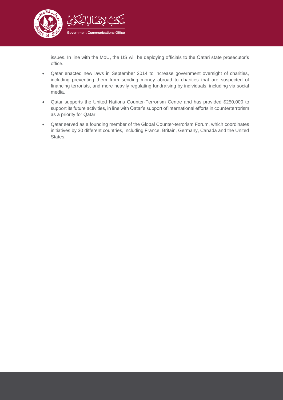

issues. In line with the MoU, the US will be deploying officials to the Qatari state prosecutor's office.

- Qatar enacted new laws in September 2014 to increase government oversight of charities, including preventing them from sending money abroad to charities that are suspected of financing terrorists, and more heavily regulating fundraising by individuals, including via social media.
- Qatar supports the United Nations Counter-Terrorism Centre and has provided \$250,000 to support its future activities, in line with Qatar's support of international efforts in counterterrorism as a priority for Qatar.
- Qatar served as a founding member of the Global Counter-terrorism Forum, which coordinates initiatives by 30 different countries, including France, Britain, Germany, Canada and the United States.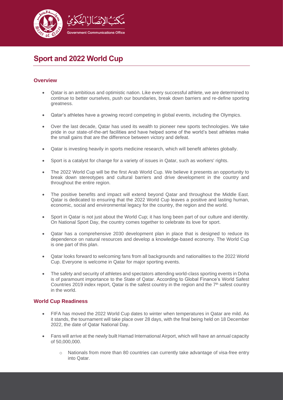

# <span id="page-4-0"></span>**Sport and 2022 World Cup**

### **Overview**

- Qatar is an ambitious and optimistic nation. Like every successful athlete, we are determined to continue to better ourselves, push our boundaries, break down barriers and re-define sporting greatness.
- Qatar's athletes have a growing record competing in global events, including the Olympics.
- Over the last decade, Qatar has used its wealth to pioneer new sports technologies. We take pride in our state-of-the-art facilities and have helped some of the world's best athletes make the small gains that are the difference between victory and defeat.
- Qatar is investing heavily in sports medicine research, which will benefit athletes globally.
- Sport is a catalyst for change for a variety of issues in Qatar, such as workers' rights.
- The 2022 World Cup will be the first Arab World Cup. We believe it presents an opportunity to break down stereotypes and cultural barriers and drive development in the country and throughout the entire region.
- The positive benefits and impact will extend beyond Qatar and throughout the Middle East. Qatar is dedicated to ensuring that the 2022 World Cup leaves a positive and lasting human, economic, social and environmental legacy for the country, the region and the world.
- Sport in Qatar is not just about the World Cup; it has long been part of our culture and identity. On National Sport Day, the country comes together to celebrate its love for sport.
- Qatar has a comprehensive 2030 development plan in place that is designed to reduce its dependence on natural resources and develop a knowledge-based economy. The World Cup is one part of this plan.
- Qatar looks forward to welcoming fans from all backgrounds and nationalities to the 2022 World Cup. Everyone is welcome in Qatar for major sporting events.
- The safety and security of athletes and spectators attending world-class sporting events in Doha is of paramount importance to the State of Qatar. According to Global Finance's World Safest Countries 2019 index report, Qatar is the safest country in the region and the 7<sup>th</sup> safest country in the world.

#### **World Cup Readiness**

- FIFA has moved the 2022 World Cup dates to winter when temperatures in Qatar are mild. As it stands, the tournament will take place over 28 days, with the final being held on 18 December 2022, the date of Qatar National Day.
- Fans will arrive at the newly built Hamad International Airport, which will have an annual capacity of 50,000,000.
	- $\circ$  Nationals from more than 80 countries can currently take advantage of visa-free entry into Qatar.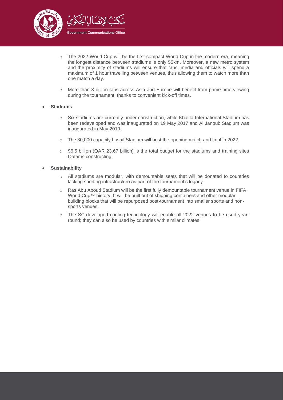

- o The 2022 World Cup will be the first compact World Cup in the modern era, meaning the longest distance between stadiums is only 55km. Moreover, a new metro system and the proximity of stadiums will ensure that fans, media and officials will spend a maximum of 1 hour travelling between venues, thus allowing them to watch more than one match a day.
- $\circ$  More than 3 billion fans across Asia and Europe will benefit from prime time viewing during the tournament, thanks to convenient kick-off times.

#### • **Stadiums**

- o Six stadiums are currently under construction, while Khalifa International Stadium has been redeveloped and was inaugurated on 19 May 2017 and Al Janoub Stadium was inaugurated in May 2019.
- $\circ$  The 80,000 capacity Lusail Stadium will host the opening match and final in 2022.
- $\circ$  \$6.5 billion (QAR 23.67 billion) is the total budget for the stadiums and training sites Qatar is constructing.

#### • **Sustainability**

- o All stadiums are modular, with demountable seats that will be donated to countries lacking sporting infrastructure as part of the tournament's legacy.
- o Ras Abu Aboud Stadium will be the first fully demountable tournament venue in FIFA World Cup™ history. It will be built out of shipping containers and other modular building blocks that will be repurposed post-tournament into smaller sports and nonsports venues.
- o The SC-developed cooling technology will enable all 2022 venues to be used yearround; they can also be used by countries with similar climates.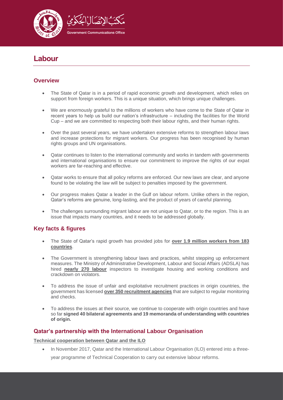

# <span id="page-6-0"></span>**Labour**

# **Overview**

- The State of Qatar is in a period of rapid economic growth and development, which relies on support from foreign workers. This is a unique situation, which brings unique challenges.
- We are enormously grateful to the millions of workers who have come to the State of Qatar in recent years to help us build our nation's infrastructure – including the facilities for the World Cup – and we are committed to respecting both their labour rights, and their human rights.
- Over the past several years, we have undertaken extensive reforms to strengthen labour laws and increase protections for migrant workers. Our progress has been recognised by human rights groups and UN organisations.
- Qatar continues to listen to the international community and works in tandem with governments and international organisations to ensure our commitment to improve the rights of our expat workers are far-reaching and effective.
- Qatar works to ensure that all policy reforms are enforced. Our new laws are clear, and anyone found to be violating the law will be subject to penalties imposed by the government.
- Our progress makes Qatar a leader in the Gulf on labour reform. Unlike others in the region, Qatar's reforms are genuine, long-lasting, and the product of years of careful planning.
- The challenges surrounding migrant labour are not unique to Qatar, or to the region. This is an issue that impacts many countries, and it needs to be addressed globally.

# **Key facts & figures**

- The State of Qatar's rapid growth has provided jobs for **over 1.9 million workers from 183 countries**.
- The Government is strengthening labour laws and practices, whilst stepping up enforcement measures. The Ministry of Administrative Development, Labour and Social Affairs (ADSLA) has hired **nearly 270 labour** inspectors to investigate housing and working conditions and crackdown on violators.
- To address the issue of unfair and exploitative recruitment practices in origin countries, the government has licensed **over 350 recruitment agencies** that are subject to regular monitoring and checks.
- To address the issues at their source, we continue to cooperate with origin countries and have so far **signed 40 bilateral agreements and 19 memoranda of understanding with countries of origin.**

## **Qatar's partnership with the International Labour Organisation**

**Technical cooperation between Qatar and the ILO**

• In November 2017, Qatar and the International Labour Organisation (ILO) entered into a threeyear programme of Technical Cooperation to carry out extensive labour reforms.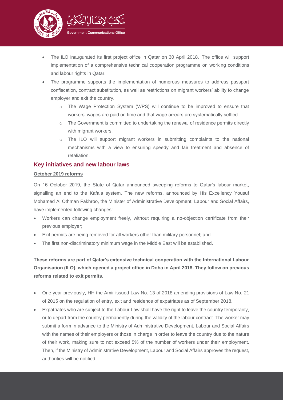

- The ILO inaugurated its first project office in Qatar on 30 April 2018. The office will support implementation of a comprehensive technical cooperation programme on working conditions and labour rights in Qatar.
- The programme supports the implementation of numerous measures to address passport confiscation, contract substitution, as well as restrictions on migrant workers' ability to change employer and exit the country.
	- o The Wage Protection System (WPS) will continue to be improved to ensure that workers' wages are paid on time and that wage arrears are systematically settled.
	- o The Government is committed to undertaking the renewal of residence permits directly with migrant workers.
	- o The ILO will support migrant workers in submitting complaints to the national mechanisms with a view to ensuring speedy and fair treatment and absence of retaliation.

### **Key initiatives and new labour laws**

#### **October 2019 reforms**

On 16 October 2019, the State of Qatar announced sweeping reforms to Qatar's labour market, signalling an end to the Kafala system. The new reforms, announced by His Excellency Yousuf Mohamed Al Othman Fakhroo, the Minister of Administrative Development, Labour and Social Affairs, have implemented following changes:

- Workers can change employment freely, without requiring a no-objection certificate from their previous employer;
- Exit permits are being removed for all workers other than military personnel; and
- The first non-discriminatory minimum wage in the Middle East will be established.

**These reforms are part of Qatar's extensive technical cooperation with the International Labour Organisation (ILO), which opened a project office in Doha in April 2018. They follow on previous reforms related to exit permits.**

- One year previously, HH the Amir issued Law No. 13 of 2018 amending provisions of Law No. 21 of 2015 on the regulation of entry, exit and residence of expatriates as of September 2018.
- Expatriates who are subject to the Labour Law shall have the right to leave the country temporarily, or to depart from the country permanently during the validity of the labour contract. The worker may submit a form in advance to the Ministry of Administrative Development, Labour and Social Affairs with the names of their employers or those in charge in order to leave the country due to the nature of their work, making sure to not exceed 5% of the number of workers under their employment. Then, if the Ministry of Administrative Development, Labour and Social Affairs approves the request, authorities will be notified.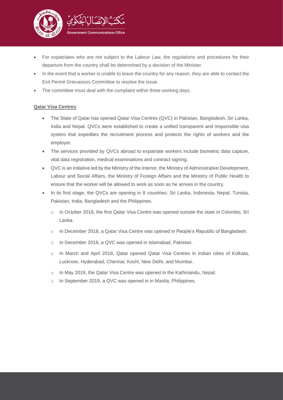

- For expatriates who are not subject to the Labour Law, the regulations and procedures for their departure from the country shall be determined by a decision of the Minister.
- In the event that a worker is unable to leave the country for any reason, they are able to contact the Exit Permit Grievances Committee to resolve the issue.
- The committee must deal with the complaint within three working days.

#### **Qatar Visa Centres**

- The State of Qatar has opened Qatar Visa Centres (QVC) in Pakistan, Bangladesh, Sri Lanka, India and Nepal. QVCs were established to create a unified transparent and responsible visa system that expedites the recruitment process and protects the rights of workers and the employer.
- The services provided by QVCs abroad to expatriate workers include biometric data capture, vital data registration, medical examinations and contract signing.
- QVC is an initiative led by the Ministry of the Interior, the Ministry of Administrative Development, Labour and Social Affairs, the Ministry of Foreign Affairs and the Ministry of Public Health to ensure that the worker will be allowed to work as soon as he arrives in the country.
- In its first stage, the QVCs are opening in 8 countries: Sri Lanka, Indonesia, Nepal, Tunisia, Pakistan, India, Bangladesh and the Philippines.
	- o In October 2018, the first Qatar Visa Centre was opened outside the state in Colombo, Sri Lanka.
	- o In December 2018, a Qatar Visa Centre was opened in People's Republic of Bangladesh.
	- o In December 2018, a QVC was opened in Islamabad, Pakistan.
	- o In March and April 2018, Qatar opened Qatar Visa Centres in Indian cities of Kolkata, Lucknow, Hyderabad, Chennai, Kochi, New Delhi, and Mumbai.
	- o In May 2019, the Qatar Visa Centre was opened in the Kathmandu, Nepal.
	- o In September 2019, a QVC was opened in in Manila, Philippines.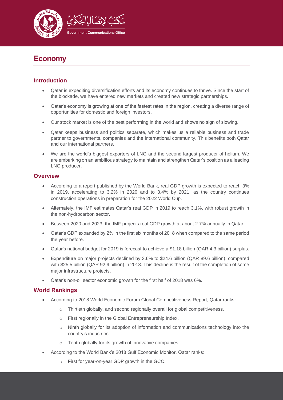

# <span id="page-9-0"></span>**Economy**

## **Introduction**

- Qatar is expediting diversification efforts and its economy continues to thrive. Since the start of the blockade, we have entered new markets and created new strategic partnerships.
- Qatar's economy is growing at one of the fastest rates in the region, creating a diverse range of opportunities for domestic and foreign investors.
- Our stock market is one of the best performing in the world and shows no sign of slowing.
- Qatar keeps business and politics separate, which makes us a reliable business and trade partner to governments, companies and the international community. This benefits both Qatar and our international partners.
- We are the world's biggest exporters of LNG and the second largest producer of helium. We are embarking on an ambitious strategy to maintain and strengthen Qatar's position as a leading LNG producer.

## **Overview**

- According to a report published by the World Bank, real GDP growth is expected to reach 3% in 2019, accelerating to 3.2% in 2020 and to 3.4% by 2021, as the country continues construction operations in preparation for the 2022 World Cup.
- Alternately, the IMF estimates Qatar's real GDP in 2019 to reach 3.1%, with robust growth in the non-hydrocarbon sector.
- Between 2020 and 2023, the IMF projects real GDP growth at about 2.7% annually in Qatar.
- Qatar's GDP expanded by 2% in the first six months of 2018 when compared to the same period the year before.
- Qatar's national budget for 2019 is forecast to achieve a \$1.18 billion (QAR 4.3 billion) surplus.
- Expenditure on major projects declined by 3.6% to \$24.6 billion (QAR 89.6 billion), compared with \$25.5 billion (QAR 92.9 billion) in 2018. This decline is the result of the completion of some major infrastructure projects.
- Qatar's non-oil sector economic growth for the first half of 2018 was 6%.

## **World Rankings**

- According to 2018 World Economic Forum Global Competitiveness Report, Qatar ranks:
	- o Thirtieth globally, and second regionally overall for global competitiveness.
	- o First regionally in the Global Entrepreneurship Index.
	- o Ninth globally for its adoption of information and communications technology into the country's industries.
	- o Tenth globally for its growth of innovative companies.
- According to the World Bank's 2018 Gulf Economic Monitor, Qatar ranks:
	- o First for year-on-year GDP growth in the GCC.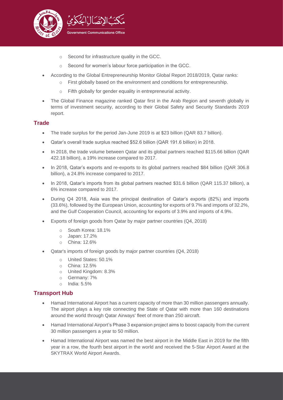

- o Second for infrastructure quality in the GCC.
- o Second for women's labour force participation in the GCC.
- According to the Global Entrepreneurship Monitor Global Report 2018/2019, Qatar ranks:
	- $\circ$  First globally based on the environment and conditions for entrepreneurship.
	- o Fifth globally for gender equality in entrepreneurial activity.
- The Global Finance magazine ranked Qatar first in the Arab Region and seventh globally in terms of investment security, according to their Global Safety and Security Standards 2019 report.

#### **Trade**

- The trade surplus for the period Jan-June 2019 is at \$23 billion (QAR 83.7 billion).
- Qatar's overall trade surplus reached \$52.6 billion (QAR 191.6 billion) in 2018.
- In 2018, the trade volume between Qatar and its global partners reached \$115.66 billion (QAR 422.18 billion), a 19% increase compared to 2017.
- In 2018, Qatar's exports and re-exports to its global partners reached \$84 billion (QAR 306.8 billion), a 24.8% increase compared to 2017.
- In 2018, Qatar's imports from its global partners reached \$31.6 billion (QAR 115.37 billion), a 6% increase compared to 2017.
- During Q4 2018, Asia was the principal destination of Qatar's exports (82%) and imports (33.6%), followed by the European Union, accounting for exports of 9.7% and imports of 32.2%, and the Gulf Cooperation Council, accounting for exports of 3.9% and imports of 4.9%.
- Exports of foreign goods from Qatar by major partner countries (Q4, 2018)
	- o South Korea: 18.1%
	- o Japan: 17.2%
	- o China: 12.6%
- Qatar's imports of foreign goods by major partner countries (Q4, 2018)
	- o United States: 50.1%
	- o China: 12.5%
	- o United Kingdom: 8.3%
	- o Germany: 7%
	- o India: 5.5%

### **Transport Hub**

- Hamad International Airport has a current capacity of more than 30 million passengers annually. The airport plays a key role connecting the State of Qatar with more than 160 destinations around the world through Qatar Airways' fleet of more than 250 aircraft.
- Hamad International Airport's Phase 3 expansion project aims to boost capacity from the current 30 million passengers a year to 50 million.
- Hamad International Airport was named the best airport in the Middle East in 2019 for the fifth year in a row, the fourth best airport in the world and received the 5-Star Airport Award at the SKYTRAX World Airport Awards.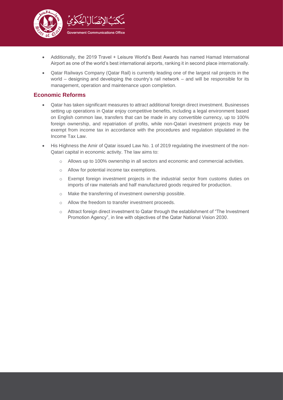

- Additionally, the 2019 Travel + Leisure World's Best Awards has named Hamad International Airport as one of the world's best international airports, ranking it in second place internationally.
- Qatar Railways Company (Qatar Rail) is currently leading one of the largest rail projects in the world – designing and developing the country's rail network – and will be responsible for its management, operation and maintenance upon completion.

## **Economic Reforms**

- Qatar has taken significant measures to attract additional foreign direct investment. Businesses setting up operations in Qatar enjoy competitive benefits, including a legal environment based on English common law, transfers that can be made in any convertible currency, up to 100% foreign ownership, and repatriation of profits, while non-Qatari investment projects may be exempt from income tax in accordance with the procedures and regulation stipulated in the Income Tax Law.
- His Highness the Amir of Qatar issued Law No. 1 of 2019 regulating the investment of the non-Qatari capital in economic activity. The law aims to:
	- $\circ$  Allows up to 100% ownership in all sectors and economic and commercial activities.
	- o Allow for potential income tax exemptions.
	- o Exempt foreign investment projects in the industrial sector from customs duties on imports of raw materials and half manufactured goods required for production.
	- o Make the transferring of investment ownership possible.
	- o Allow the freedom to transfer investment proceeds.
	- o Attract foreign direct investment to Qatar through the establishment of "The Investment Promotion Agency", in line with objectives of the Qatar National Vision 2030.